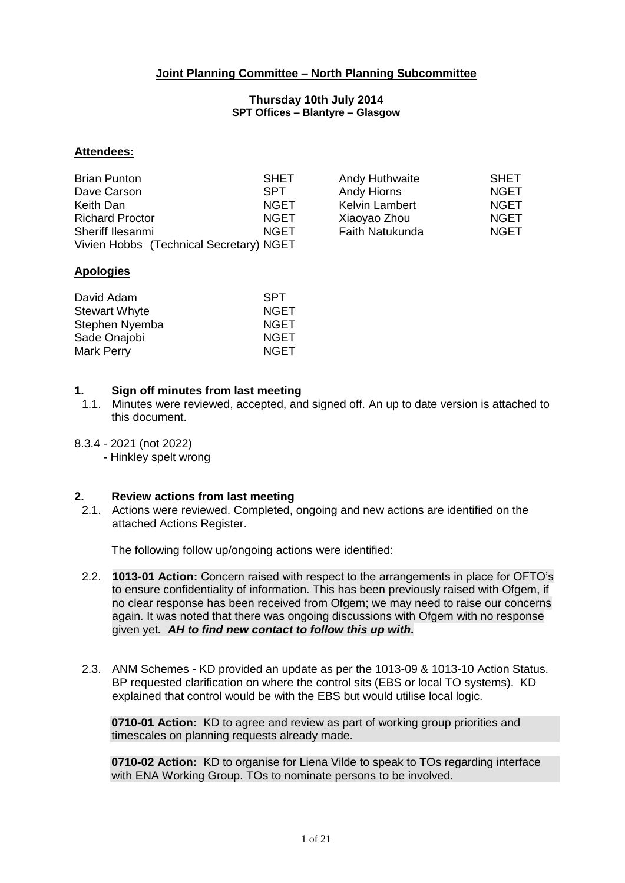## **Joint Planning Committee – North Planning Subcommittee**

#### **Thursday 10th July 2014 SPT Offices – Blantyre – Glasgow**

#### **Attendees:**

| <b>Brian Punton</b>                     | <b>SHET</b> | Andy Huthwaite         | <b>SHET</b> |
|-----------------------------------------|-------------|------------------------|-------------|
| Dave Carson                             | <b>SPT</b>  | Andy Hiorns            | <b>NGET</b> |
| Keith Dan                               | <b>NGET</b> | <b>Kelvin Lambert</b>  | <b>NGET</b> |
| <b>Richard Proctor</b>                  | <b>NGET</b> | Xiaoyao Zhou           | <b>NGET</b> |
| Sheriff Ilesanmi                        | <b>NGET</b> | <b>Faith Natukunda</b> | <b>NGET</b> |
| Vivien Hobbs (Technical Secretary) NGET |             |                        |             |

#### **Apologies**

| David Adam           | <b>SPT</b>  |
|----------------------|-------------|
| <b>Stewart Whyte</b> | <b>NGET</b> |
| Stephen Nyemba       | <b>NGET</b> |
| Sade Onajobi         | <b>NGET</b> |
| Mark Perry           | <b>NGET</b> |

#### **1. Sign off minutes from last meeting**

- 1.1. Minutes were reviewed, accepted, and signed off. An up to date version is attached to this document.
- 8.3.4 2021 (not 2022)
	- Hinkley spelt wrong

#### **2. Review actions from last meeting**

2.1. Actions were reviewed. Completed, ongoing and new actions are identified on the attached Actions Register.

The following follow up/ongoing actions were identified:

- 2.2. **1013-01 Action:** Concern raised with respect to the arrangements in place for OFTO's to ensure confidentiality of information. This has been previously raised with Ofgem, if no clear response has been received from Ofgem; we may need to raise our concerns again. It was noted that there was ongoing discussions with Ofgem with no response given yet*. AH to find new contact to follow this up with.*
- 2.3. ANM Schemes KD provided an update as per the 1013-09 & 1013-10 Action Status. BP requested clarification on where the control sits (EBS or local TO systems). KD explained that control would be with the EBS but would utilise local logic.

**0710-01 Action:** KD to agree and review as part of working group priorities and timescales on planning requests already made.

**0710-02 Action:** KD to organise for Liena Vilde to speak to TOs regarding interface with ENA Working Group. TOs to nominate persons to be involved.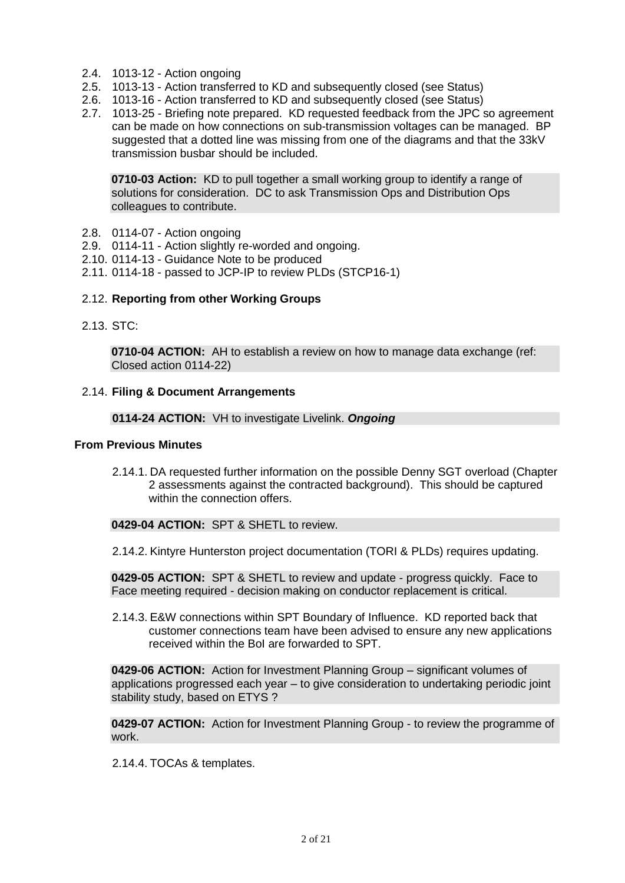- 2.4. 1013-12 Action ongoing
- 2.5. 1013-13 Action transferred to KD and subsequently closed (see Status)
- 2.6. 1013-16 Action transferred to KD and subsequently closed (see Status)
- 2.7. 1013-25 Briefing note prepared. KD requested feedback from the JPC so agreement can be made on how connections on sub-transmission voltages can be managed. BP suggested that a dotted line was missing from one of the diagrams and that the 33kV transmission busbar should be included.

**0710-03 Action:** KD to pull together a small working group to identify a range of solutions for consideration. DC to ask Transmission Ops and Distribution Ops colleagues to contribute.

- 2.8. 0114-07 Action ongoing
- 2.9. 0114-11 Action slightly re-worded and ongoing.
- 2.10. 0114-13 Guidance Note to be produced
- 2.11. 0114-18 passed to JCP-IP to review PLDs (STCP16-1)

#### 2.12. **Reporting from other Working Groups**

2.13. STC:

**0710-04 ACTION:** AH to establish a review on how to manage data exchange (ref: Closed action 0114-22)

#### 2.14. **Filing & Document Arrangements**

#### **0114-24 ACTION:** VH to investigate Livelink. *Ongoing*

#### **From Previous Minutes**

2.14.1. DA requested further information on the possible Denny SGT overload (Chapter 2 assessments against the contracted background). This should be captured within the connection offers.

## **0429-04 ACTION:** SPT & SHETL to review.

2.14.2. Kintyre Hunterston project documentation (TORI & PLDs) requires updating.

**0429-05 ACTION:** SPT & SHETL to review and update - progress quickly. Face to Face meeting required - decision making on conductor replacement is critical.

2.14.3. E&W connections within SPT Boundary of Influence. KD reported back that customer connections team have been advised to ensure any new applications received within the BoI are forwarded to SPT.

**0429-06 ACTION:** Action for Investment Planning Group – significant volumes of applications progressed each year – to give consideration to undertaking periodic joint stability study, based on ETYS ?

**0429-07 ACTION:** Action for Investment Planning Group - to review the programme of work.

2.14.4. TOCAs & templates.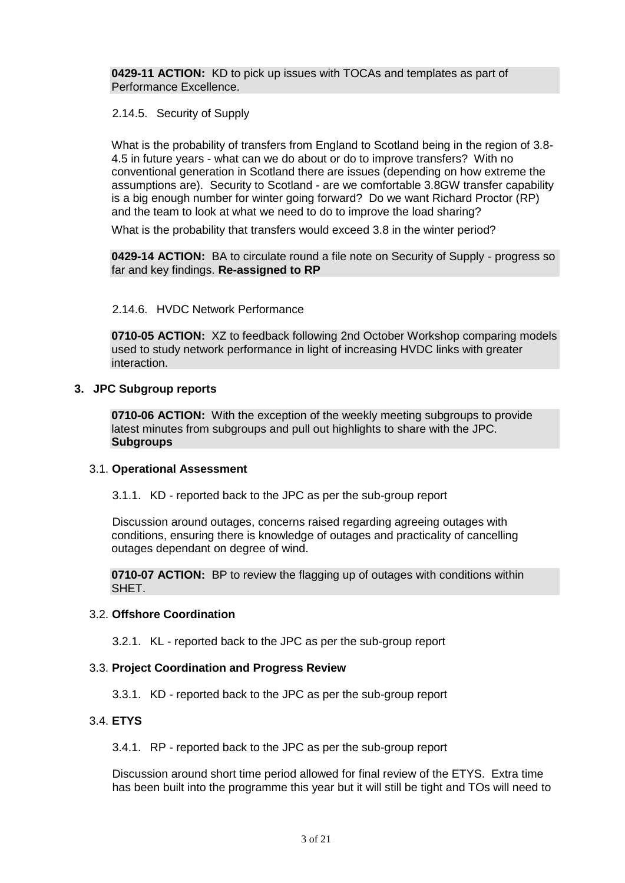**0429-11 ACTION:** KD to pick up issues with TOCAs and templates as part of Performance Excellence.

2.14.5. Security of Supply

What is the probability of transfers from England to Scotland being in the region of 3.8- 4.5 in future years - what can we do about or do to improve transfers? With no conventional generation in Scotland there are issues (depending on how extreme the assumptions are). Security to Scotland - are we comfortable 3.8GW transfer capability is a big enough number for winter going forward? Do we want Richard Proctor (RP) and the team to look at what we need to do to improve the load sharing?

What is the probability that transfers would exceed 3.8 in the winter period?

**0429-14 ACTION:** BA to circulate round a file note on Security of Supply - progress so far and key findings. **Re-assigned to RP**

#### 2.14.6. HVDC Network Performance

**0710-05 ACTION:** XZ to feedback following 2nd October Workshop comparing models used to study network performance in light of increasing HVDC links with greater interaction.

#### **3. JPC Subgroup reports**

**0710-06 ACTION:** With the exception of the weekly meeting subgroups to provide latest minutes from subgroups and pull out highlights to share with the JPC. **Subgroups**

#### 3.1. **Operational Assessment**

3.1.1. KD - reported back to the JPC as per the sub-group report

Discussion around outages, concerns raised regarding agreeing outages with conditions, ensuring there is knowledge of outages and practicality of cancelling outages dependant on degree of wind.

**0710-07 ACTION:** BP to review the flagging up of outages with conditions within SHET.

#### 3.2. **Offshore Coordination**

3.2.1. KL - reported back to the JPC as per the sub-group report

#### 3.3. **Project Coordination and Progress Review**

3.3.1. KD - reported back to the JPC as per the sub-group report

#### 3.4. **ETYS**

3.4.1. RP - reported back to the JPC as per the sub-group report

Discussion around short time period allowed for final review of the ETYS. Extra time has been built into the programme this year but it will still be tight and TOs will need to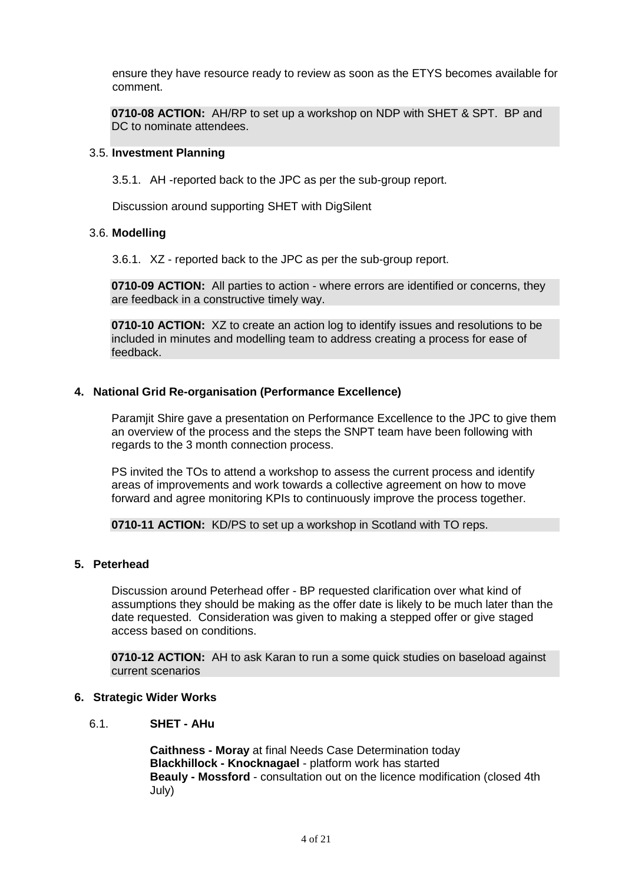ensure they have resource ready to review as soon as the ETYS becomes available for comment.

**0710-08 ACTION:** AH/RP to set up a workshop on NDP with SHET & SPT. BP and DC to nominate attendees.

#### 3.5. **Investment Planning**

3.5.1. AH -reported back to the JPC as per the sub-group report.

Discussion around supporting SHET with DigSilent

#### 3.6. **Modelling**

3.6.1. XZ - reported back to the JPC as per the sub-group report.

**0710-09 ACTION:** All parties to action - where errors are identified or concerns, they are feedback in a constructive timely way.

**0710-10 ACTION:** XZ to create an action log to identify issues and resolutions to be included in minutes and modelling team to address creating a process for ease of feedback.

## **4. National Grid Re-organisation (Performance Excellence)**

Paramjit Shire gave a presentation on Performance Excellence to the JPC to give them an overview of the process and the steps the SNPT team have been following with regards to the 3 month connection process.

PS invited the TOs to attend a workshop to assess the current process and identify areas of improvements and work towards a collective agreement on how to move forward and agree monitoring KPIs to continuously improve the process together.

**0710-11 ACTION:** KD/PS to set up a workshop in Scotland with TO reps.

## **5. Peterhead**

Discussion around Peterhead offer - BP requested clarification over what kind of assumptions they should be making as the offer date is likely to be much later than the date requested. Consideration was given to making a stepped offer or give staged access based on conditions.

**0710-12 ACTION:** AH to ask Karan to run a some quick studies on baseload against current scenarios

#### **6. Strategic Wider Works**

6.1. **SHET - AHu**

**Caithness - Moray** at final Needs Case Determination today **Blackhillock - Knocknagael** - platform work has started **Beauly - Mossford** - consultation out on the licence modification (closed 4th July)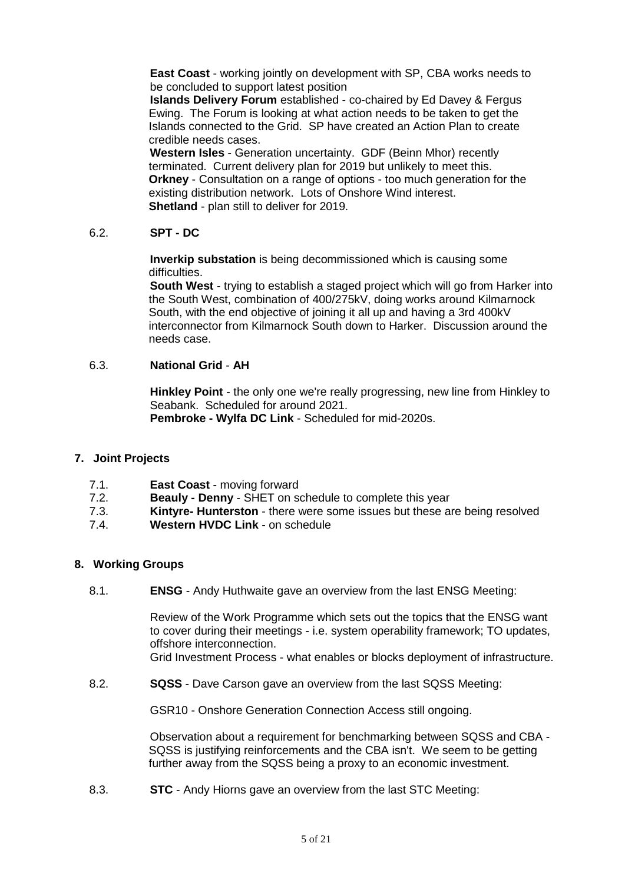**East Coast** - working jointly on development with SP, CBA works needs to be concluded to support latest position

**Islands Delivery Forum** established - co-chaired by Ed Davey & Fergus Ewing. The Forum is looking at what action needs to be taken to get the Islands connected to the Grid. SP have created an Action Plan to create credible needs cases.

**Western Isles** - Generation uncertainty. GDF (Beinn Mhor) recently terminated. Current delivery plan for 2019 but unlikely to meet this. **Orkney** - Consultation on a range of options - too much generation for the existing distribution network. Lots of Onshore Wind interest. **Shetland** - plan still to deliver for 2019.

#### 6.2. **SPT - DC**

**Inverkip substation** is being decommissioned which is causing some difficulties.

**South West** - trying to establish a staged project which will go from Harker into the South West, combination of 400/275kV, doing works around Kilmarnock South, with the end objective of joining it all up and having a 3rd 400kV interconnector from Kilmarnock South down to Harker. Discussion around the needs case.

#### 6.3. **National Grid** - **AH**

**Hinkley Point** - the only one we're really progressing, new line from Hinkley to Seabank. Scheduled for around 2021.

**Pembroke - Wylfa DC Link** - Scheduled for mid-2020s.

#### **7. Joint Projects**

- 7.1. **East Coast** moving forward
- 7.2. **Beauly - Denny** SHET on schedule to complete this year
- 7.3. **Kintyre- Hunterston** there were some issues but these are being resolved
- 7.4. **Western HVDC Link**  on schedule

#### **8. Working Groups**

8.1. **ENSG** - Andy Huthwaite gave an overview from the last ENSG Meeting:

Review of the Work Programme which sets out the topics that the ENSG want to cover during their meetings - i.e. system operability framework; TO updates, offshore interconnection.

Grid Investment Process - what enables or blocks deployment of infrastructure.

8.2. **SQSS** - Dave Carson gave an overview from the last SQSS Meeting:

GSR10 - Onshore Generation Connection Access still ongoing.

Observation about a requirement for benchmarking between SQSS and CBA - SQSS is justifying reinforcements and the CBA isn't. We seem to be getting further away from the SQSS being a proxy to an economic investment.

8.3. **STC** - Andy Hiorns gave an overview from the last STC Meeting: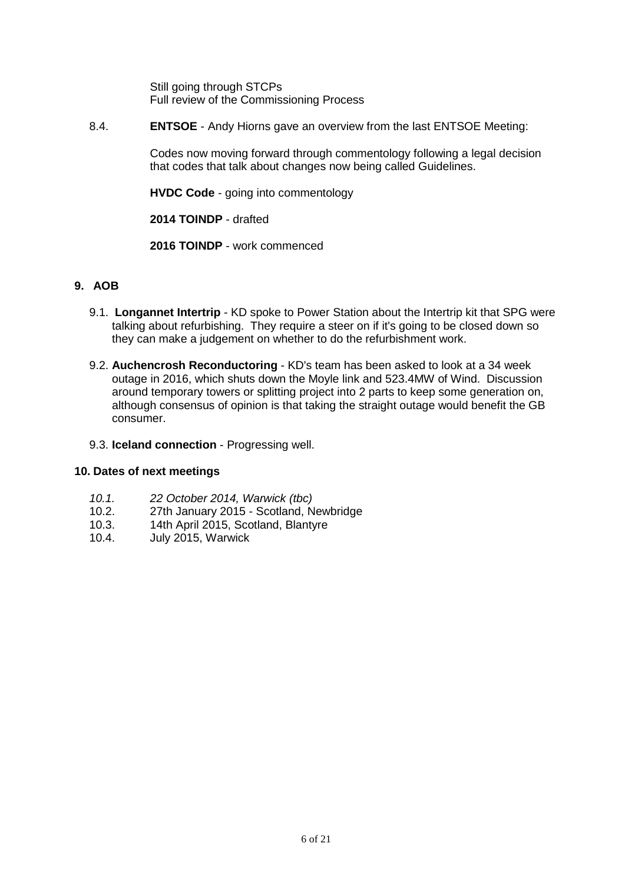Still going through STCPs Full review of the Commissioning Process

8.4. **ENTSOE** - Andy Hiorns gave an overview from the last ENTSOE Meeting:

Codes now moving forward through commentology following a legal decision that codes that talk about changes now being called Guidelines.

**HVDC Code** - going into commentology

**2014 TOINDP** - drafted

**2016 TOINDP** - work commenced

## **9. AOB**

- 9.1. **Longannet Intertrip**  KD spoke to Power Station about the Intertrip kit that SPG were talking about refurbishing. They require a steer on if it's going to be closed down so they can make a judgement on whether to do the refurbishment work.
- 9.2. **Auchencrosh Reconductoring** KD's team has been asked to look at a 34 week outage in 2016, which shuts down the Moyle link and 523.4MW of Wind. Discussion around temporary towers or splitting project into 2 parts to keep some generation on, although consensus of opinion is that taking the straight outage would benefit the GB consumer.

## 9.3. **Iceland connection** - Progressing well.

## **10. Dates of next meetings**

- *10.1. 22 October 2014, Warwick (tbc)*
- 10.2. 27th January 2015 Scotland, Newbridge
- 10.3. 14th April 2015, Scotland, Blantyre
- 10.4. July 2015, Warwick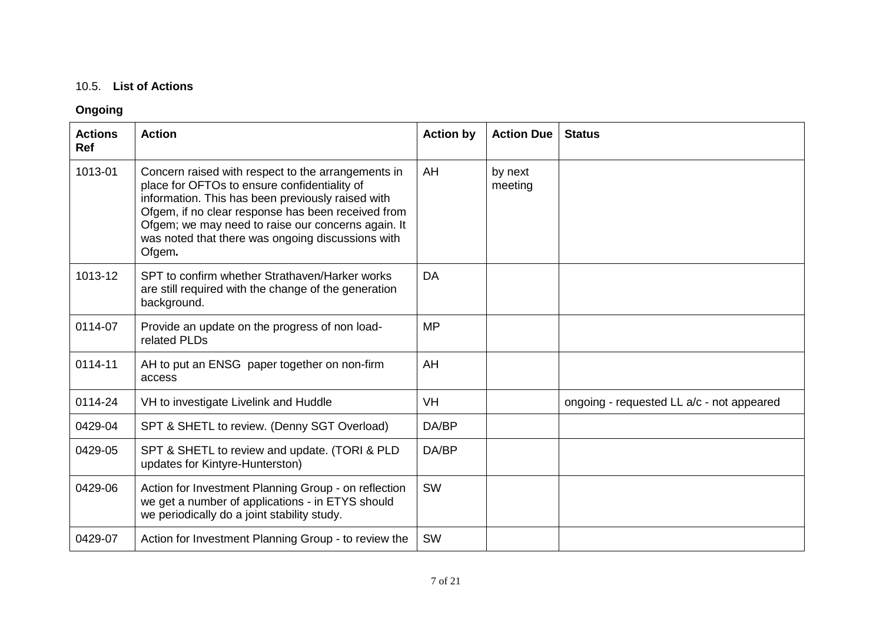## 10.5. **List of Actions**

## **Ongoing**

| <b>Actions</b><br><b>Ref</b> | <b>Action</b>                                                                                                                                                                                                                                                                                                                      | <b>Action by</b> | <b>Action Due</b>  | <b>Status</b>                             |
|------------------------------|------------------------------------------------------------------------------------------------------------------------------------------------------------------------------------------------------------------------------------------------------------------------------------------------------------------------------------|------------------|--------------------|-------------------------------------------|
| 1013-01                      | Concern raised with respect to the arrangements in<br>place for OFTOs to ensure confidentiality of<br>information. This has been previously raised with<br>Ofgem, if no clear response has been received from<br>Ofgem; we may need to raise our concerns again. It<br>was noted that there was ongoing discussions with<br>Ofgem. | AH               | by next<br>meeting |                                           |
| 1013-12                      | SPT to confirm whether Strathaven/Harker works<br>are still required with the change of the generation<br>background.                                                                                                                                                                                                              | <b>DA</b>        |                    |                                           |
| 0114-07                      | Provide an update on the progress of non load-<br>related PLDs                                                                                                                                                                                                                                                                     | <b>MP</b>        |                    |                                           |
| 0114-11                      | AH to put an ENSG paper together on non-firm<br>access                                                                                                                                                                                                                                                                             | AH               |                    |                                           |
| 0114-24                      | VH to investigate Livelink and Huddle                                                                                                                                                                                                                                                                                              | <b>VH</b>        |                    | ongoing - requested LL a/c - not appeared |
| 0429-04                      | SPT & SHETL to review. (Denny SGT Overload)                                                                                                                                                                                                                                                                                        | DA/BP            |                    |                                           |
| 0429-05                      | SPT & SHETL to review and update. (TORI & PLD<br>updates for Kintyre-Hunterston)                                                                                                                                                                                                                                                   | DA/BP            |                    |                                           |
| 0429-06                      | Action for Investment Planning Group - on reflection<br>we get a number of applications - in ETYS should<br>we periodically do a joint stability study.                                                                                                                                                                            | <b>SW</b>        |                    |                                           |
| 0429-07                      | Action for Investment Planning Group - to review the                                                                                                                                                                                                                                                                               | <b>SW</b>        |                    |                                           |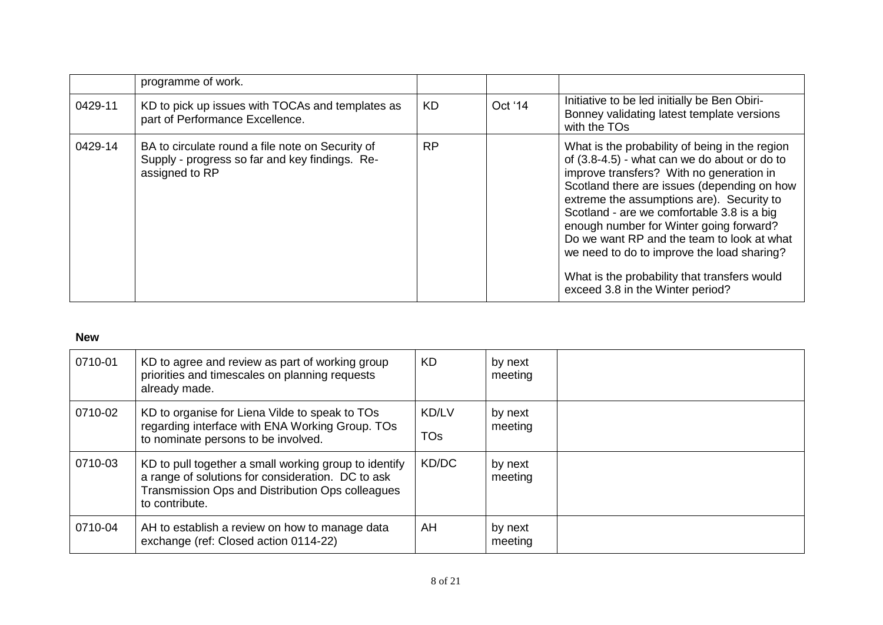|         | programme of work.                                                                                                   |           |         |                                                                                                                                                                                                                                                                                                                                                                                                                                                                                                                 |
|---------|----------------------------------------------------------------------------------------------------------------------|-----------|---------|-----------------------------------------------------------------------------------------------------------------------------------------------------------------------------------------------------------------------------------------------------------------------------------------------------------------------------------------------------------------------------------------------------------------------------------------------------------------------------------------------------------------|
| 0429-11 | KD to pick up issues with TOCAs and templates as<br>part of Performance Excellence.                                  | <b>KD</b> | Oct '14 | Initiative to be led initially be Ben Obiri-<br>Bonney validating latest template versions<br>with the TOs                                                                                                                                                                                                                                                                                                                                                                                                      |
| 0429-14 | BA to circulate round a file note on Security of<br>Supply - progress so far and key findings. Re-<br>assigned to RP | <b>RP</b> |         | What is the probability of being in the region<br>of (3.8-4.5) - what can we do about or do to<br>improve transfers? With no generation in<br>Scotland there are issues (depending on how<br>extreme the assumptions are). Security to<br>Scotland - are we comfortable 3.8 is a big<br>enough number for Winter going forward?<br>Do we want RP and the team to look at what<br>we need to do to improve the load sharing?<br>What is the probability that transfers would<br>exceed 3.8 in the Winter period? |

## **New**

| 0710-01 | KD to agree and review as part of working group<br>priorities and timescales on planning requests<br>already made.                                                               | <b>KD</b>                       | by next<br>meeting |  |
|---------|----------------------------------------------------------------------------------------------------------------------------------------------------------------------------------|---------------------------------|--------------------|--|
| 0710-02 | KD to organise for Liena Vilde to speak to TOs<br>regarding interface with ENA Working Group. TOs<br>to nominate persons to be involved.                                         | <b>KD/LV</b><br>TO <sub>s</sub> | by next<br>meeting |  |
| 0710-03 | KD to pull together a small working group to identify<br>a range of solutions for consideration. DC to ask<br>Transmission Ops and Distribution Ops colleagues<br>to contribute. | KD/DC                           | by next<br>meeting |  |
| 0710-04 | AH to establish a review on how to manage data<br>exchange (ref: Closed action 0114-22)                                                                                          | AH                              | by next<br>meeting |  |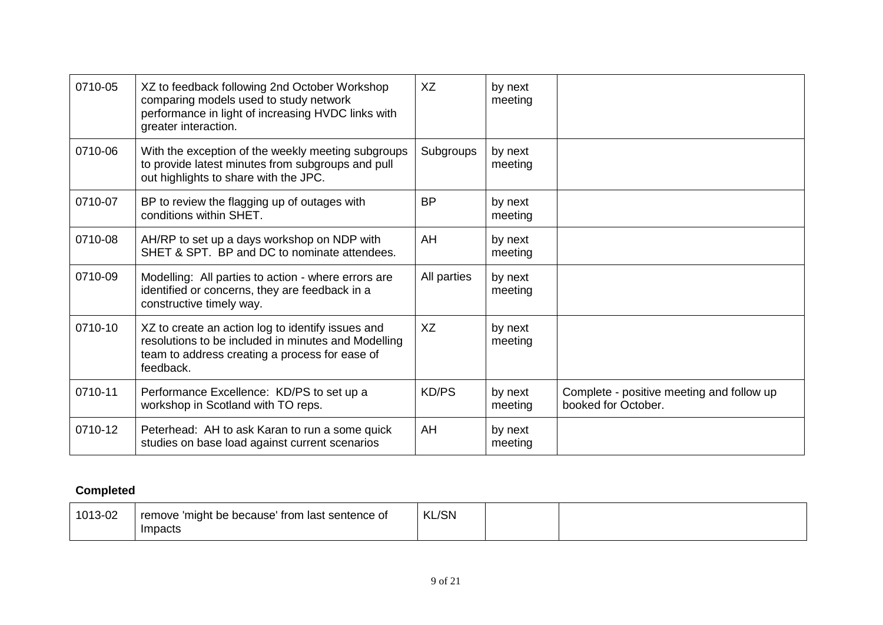| 0710-05 | XZ to feedback following 2nd October Workshop<br>comparing models used to study network<br>performance in light of increasing HVDC links with<br>greater interaction.   | XZ           | by next<br>meeting |                                                                  |
|---------|-------------------------------------------------------------------------------------------------------------------------------------------------------------------------|--------------|--------------------|------------------------------------------------------------------|
| 0710-06 | With the exception of the weekly meeting subgroups<br>to provide latest minutes from subgroups and pull<br>out highlights to share with the JPC.                        | Subgroups    | by next<br>meeting |                                                                  |
| 0710-07 | BP to review the flagging up of outages with<br>conditions within SHET.                                                                                                 | <b>BP</b>    | by next<br>meeting |                                                                  |
| 0710-08 | AH/RP to set up a days workshop on NDP with<br>SHET & SPT. BP and DC to nominate attendees.                                                                             | AH           | by next<br>meeting |                                                                  |
| 0710-09 | Modelling: All parties to action - where errors are<br>identified or concerns, they are feedback in a<br>constructive timely way.                                       | All parties  | by next<br>meeting |                                                                  |
| 0710-10 | XZ to create an action log to identify issues and<br>resolutions to be included in minutes and Modelling<br>team to address creating a process for ease of<br>feedback. | XZ           | by next<br>meeting |                                                                  |
| 0710-11 | Performance Excellence: KD/PS to set up a<br>workshop in Scotland with TO reps.                                                                                         | <b>KD/PS</b> | by next<br>meeting | Complete - positive meeting and follow up<br>booked for October. |
| 0710-12 | Peterhead: AH to ask Karan to run a some quick<br>studies on base load against current scenarios                                                                        | AH           | by next<br>meeting |                                                                  |

# **Completed**

| 1013-02 | I'might be because' from last sentence of<br>remove | <b>KL/SN</b> |  |
|---------|-----------------------------------------------------|--------------|--|
|         | Impacts                                             |              |  |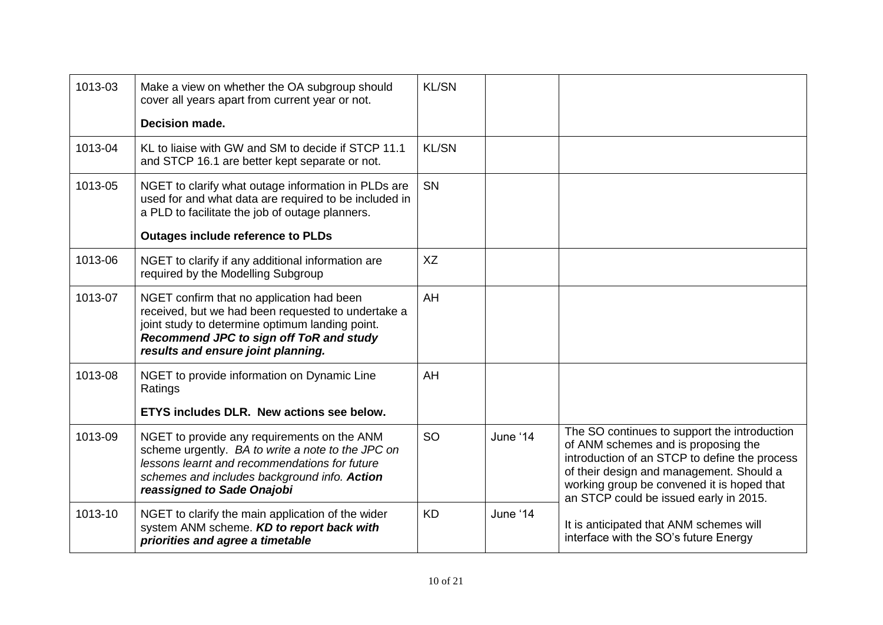| 1013-03 | Make a view on whether the OA subgroup should<br>cover all years apart from current year or not.                                                                                                                                    | <b>KL/SN</b> |          |                                                                                                                                                                                                                                                                          |
|---------|-------------------------------------------------------------------------------------------------------------------------------------------------------------------------------------------------------------------------------------|--------------|----------|--------------------------------------------------------------------------------------------------------------------------------------------------------------------------------------------------------------------------------------------------------------------------|
|         | Decision made.                                                                                                                                                                                                                      |              |          |                                                                                                                                                                                                                                                                          |
| 1013-04 | KL to liaise with GW and SM to decide if STCP 11.1<br>and STCP 16.1 are better kept separate or not.                                                                                                                                | <b>KL/SN</b> |          |                                                                                                                                                                                                                                                                          |
| 1013-05 | NGET to clarify what outage information in PLDs are<br>used for and what data are required to be included in<br>a PLD to facilitate the job of outage planners.                                                                     | SN           |          |                                                                                                                                                                                                                                                                          |
|         | <b>Outages include reference to PLDs</b>                                                                                                                                                                                            |              |          |                                                                                                                                                                                                                                                                          |
| 1013-06 | NGET to clarify if any additional information are<br>required by the Modelling Subgroup                                                                                                                                             | <b>XZ</b>    |          |                                                                                                                                                                                                                                                                          |
| 1013-07 | NGET confirm that no application had been<br>received, but we had been requested to undertake a<br>joint study to determine optimum landing point.<br>Recommend JPC to sign off ToR and study<br>results and ensure joint planning. | AH           |          |                                                                                                                                                                                                                                                                          |
| 1013-08 | NGET to provide information on Dynamic Line<br>Ratings                                                                                                                                                                              | AH           |          |                                                                                                                                                                                                                                                                          |
|         | ETYS includes DLR. New actions see below.                                                                                                                                                                                           |              |          |                                                                                                                                                                                                                                                                          |
| 1013-09 | NGET to provide any requirements on the ANM<br>scheme urgently. BA to write a note to the JPC on<br>lessons learnt and recommendations for future<br>schemes and includes background info. Action<br>reassigned to Sade Onajobi     | <b>SO</b>    | June '14 | The SO continues to support the introduction<br>of ANM schemes and is proposing the<br>introduction of an STCP to define the process<br>of their design and management. Should a<br>working group be convened it is hoped that<br>an STCP could be issued early in 2015. |
| 1013-10 | NGET to clarify the main application of the wider<br>system ANM scheme. KD to report back with<br>priorities and agree a timetable                                                                                                  | <b>KD</b>    | June '14 | It is anticipated that ANM schemes will<br>interface with the SO's future Energy                                                                                                                                                                                         |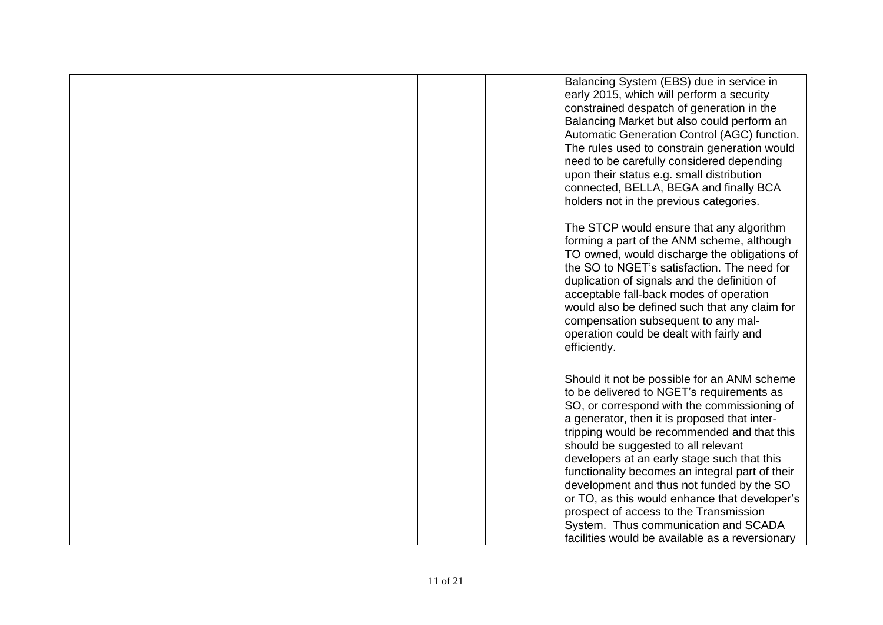|  | Balancing System (EBS) due in service in<br>early 2015, which will perform a security<br>constrained despatch of generation in the<br>Balancing Market but also could perform an<br>Automatic Generation Control (AGC) function.<br>The rules used to constrain generation would<br>need to be carefully considered depending<br>upon their status e.g. small distribution<br>connected, BELLA, BEGA and finally BCA<br>holders not in the previous categories.                                                                                                                                                    |
|--|--------------------------------------------------------------------------------------------------------------------------------------------------------------------------------------------------------------------------------------------------------------------------------------------------------------------------------------------------------------------------------------------------------------------------------------------------------------------------------------------------------------------------------------------------------------------------------------------------------------------|
|  | The STCP would ensure that any algorithm<br>forming a part of the ANM scheme, although<br>TO owned, would discharge the obligations of<br>the SO to NGET's satisfaction. The need for<br>duplication of signals and the definition of<br>acceptable fall-back modes of operation<br>would also be defined such that any claim for<br>compensation subsequent to any mal-<br>operation could be dealt with fairly and<br>efficiently.                                                                                                                                                                               |
|  | Should it not be possible for an ANM scheme<br>to be delivered to NGET's requirements as<br>SO, or correspond with the commissioning of<br>a generator, then it is proposed that inter-<br>tripping would be recommended and that this<br>should be suggested to all relevant<br>developers at an early stage such that this<br>functionality becomes an integral part of their<br>development and thus not funded by the SO<br>or TO, as this would enhance that developer's<br>prospect of access to the Transmission<br>System. Thus communication and SCADA<br>facilities would be available as a reversionary |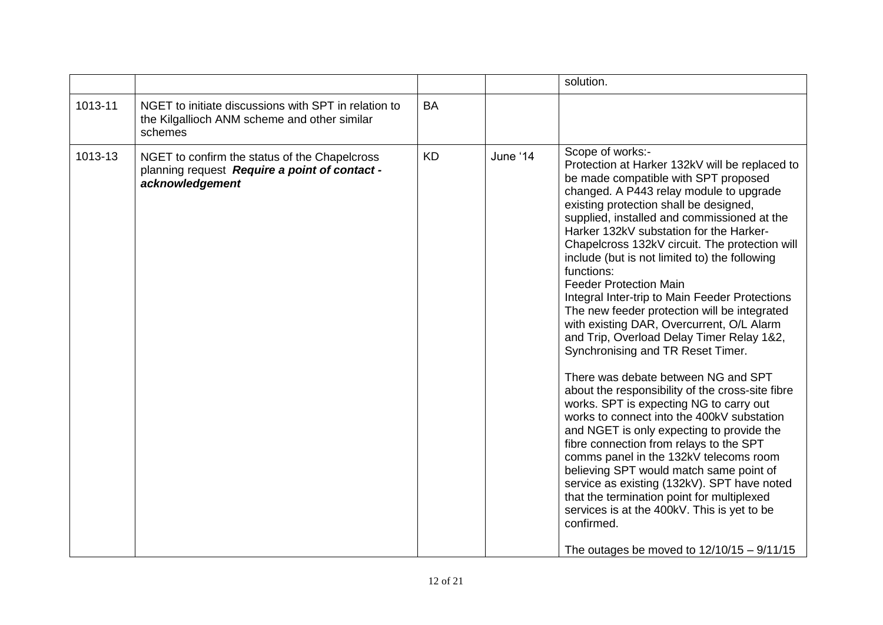|         |                                                                                                                   |           |          | solution.                                                                                                                                                                                                                                                                                                                                                                                                                                                                                                                                                                                                                                                                                                                                                                                                                                                                                                                                                                                                                                                                                                                                                                                                                                               |
|---------|-------------------------------------------------------------------------------------------------------------------|-----------|----------|---------------------------------------------------------------------------------------------------------------------------------------------------------------------------------------------------------------------------------------------------------------------------------------------------------------------------------------------------------------------------------------------------------------------------------------------------------------------------------------------------------------------------------------------------------------------------------------------------------------------------------------------------------------------------------------------------------------------------------------------------------------------------------------------------------------------------------------------------------------------------------------------------------------------------------------------------------------------------------------------------------------------------------------------------------------------------------------------------------------------------------------------------------------------------------------------------------------------------------------------------------|
| 1013-11 | NGET to initiate discussions with SPT in relation to<br>the Kilgallioch ANM scheme and other similar<br>schemes   | <b>BA</b> |          |                                                                                                                                                                                                                                                                                                                                                                                                                                                                                                                                                                                                                                                                                                                                                                                                                                                                                                                                                                                                                                                                                                                                                                                                                                                         |
| 1013-13 | NGET to confirm the status of the Chapelcross<br>planning request Require a point of contact -<br>acknowledgement | <b>KD</b> | June '14 | Scope of works:-<br>Protection at Harker 132kV will be replaced to<br>be made compatible with SPT proposed<br>changed. A P443 relay module to upgrade<br>existing protection shall be designed,<br>supplied, installed and commissioned at the<br>Harker 132kV substation for the Harker-<br>Chapelcross 132kV circuit. The protection will<br>include (but is not limited to) the following<br>functions:<br><b>Feeder Protection Main</b><br>Integral Inter-trip to Main Feeder Protections<br>The new feeder protection will be integrated<br>with existing DAR, Overcurrent, O/L Alarm<br>and Trip, Overload Delay Timer Relay 1&2,<br>Synchronising and TR Reset Timer.<br>There was debate between NG and SPT<br>about the responsibility of the cross-site fibre<br>works. SPT is expecting NG to carry out<br>works to connect into the 400kV substation<br>and NGET is only expecting to provide the<br>fibre connection from relays to the SPT<br>comms panel in the 132kV telecoms room<br>believing SPT would match same point of<br>service as existing (132kV). SPT have noted<br>that the termination point for multiplexed<br>services is at the 400kV. This is yet to be<br>confirmed.<br>The outages be moved to $12/10/15 - 9/11/15$ |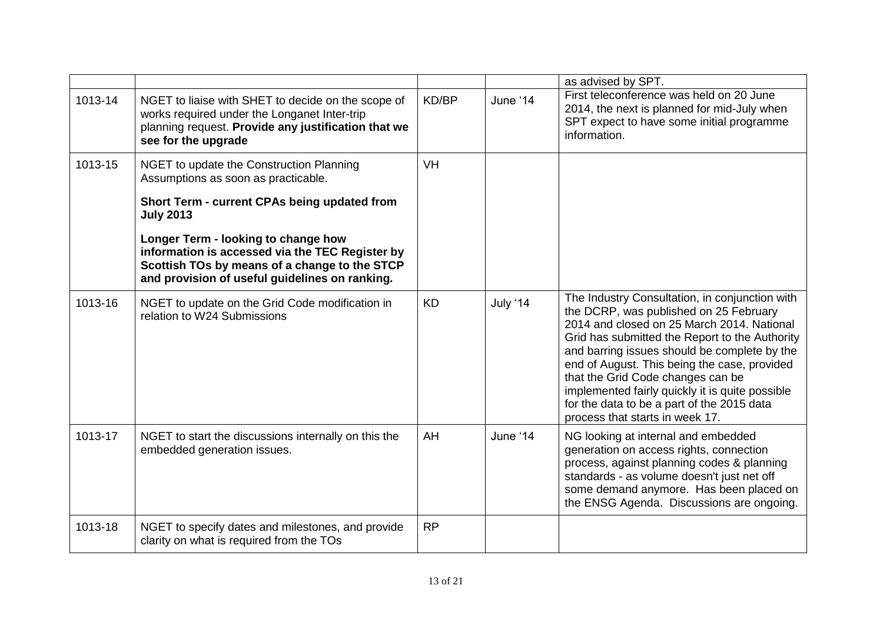|         |                                                                                                                                                                                           |           |          | as advised by SPT.                                                                                                                                                                                                                                                                                                                                                                                                                                                |
|---------|-------------------------------------------------------------------------------------------------------------------------------------------------------------------------------------------|-----------|----------|-------------------------------------------------------------------------------------------------------------------------------------------------------------------------------------------------------------------------------------------------------------------------------------------------------------------------------------------------------------------------------------------------------------------------------------------------------------------|
| 1013-14 | NGET to liaise with SHET to decide on the scope of<br>works required under the Longanet Inter-trip<br>planning request. Provide any justification that we<br>see for the upgrade          | KD/BP     | June '14 | First teleconference was held on 20 June<br>2014, the next is planned for mid-July when<br>SPT expect to have some initial programme<br>information.                                                                                                                                                                                                                                                                                                              |
| 1013-15 | NGET to update the Construction Planning<br>Assumptions as soon as practicable.                                                                                                           | <b>VH</b> |          |                                                                                                                                                                                                                                                                                                                                                                                                                                                                   |
|         | Short Term - current CPAs being updated from<br><b>July 2013</b>                                                                                                                          |           |          |                                                                                                                                                                                                                                                                                                                                                                                                                                                                   |
|         | Longer Term - looking to change how<br>information is accessed via the TEC Register by<br>Scottish TOs by means of a change to the STCP<br>and provision of useful guidelines on ranking. |           |          |                                                                                                                                                                                                                                                                                                                                                                                                                                                                   |
| 1013-16 | NGET to update on the Grid Code modification in<br>relation to W24 Submissions                                                                                                            | <b>KD</b> | July '14 | The Industry Consultation, in conjunction with<br>the DCRP, was published on 25 February<br>2014 and closed on 25 March 2014. National<br>Grid has submitted the Report to the Authority<br>and barring issues should be complete by the<br>end of August. This being the case, provided<br>that the Grid Code changes can be<br>implemented fairly quickly it is quite possible<br>for the data to be a part of the 2015 data<br>process that starts in week 17. |
| 1013-17 | NGET to start the discussions internally on this the<br>embedded generation issues.                                                                                                       | AH        | June '14 | NG looking at internal and embedded<br>generation on access rights, connection<br>process, against planning codes & planning<br>standards - as volume doesn't just net off<br>some demand anymore. Has been placed on<br>the ENSG Agenda. Discussions are ongoing.                                                                                                                                                                                                |
| 1013-18 | NGET to specify dates and milestones, and provide<br>clarity on what is required from the TOs                                                                                             | <b>RP</b> |          |                                                                                                                                                                                                                                                                                                                                                                                                                                                                   |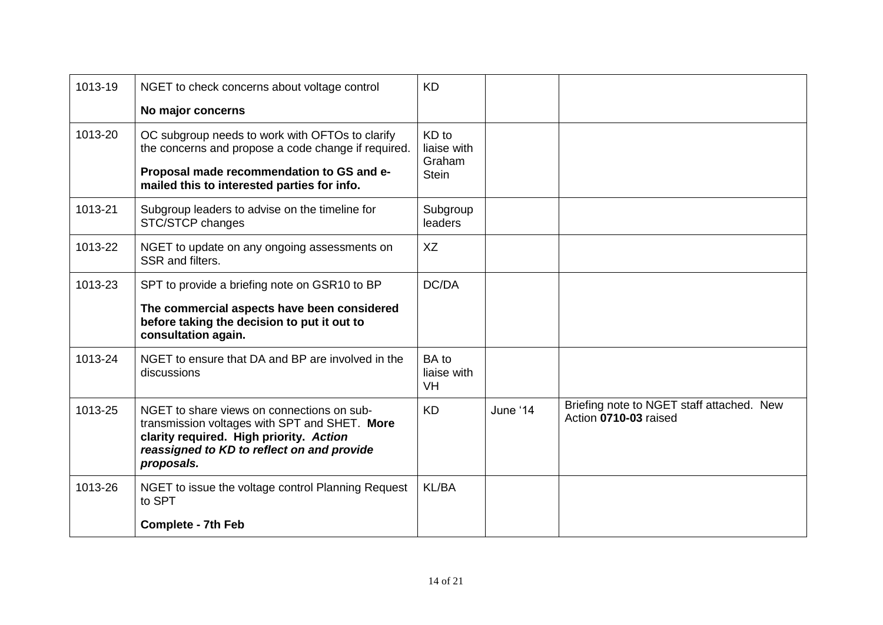| 1013-19 | NGET to check concerns about voltage control                                                                                                                                                       | <b>KD</b>                                      |          |                                                                    |
|---------|----------------------------------------------------------------------------------------------------------------------------------------------------------------------------------------------------|------------------------------------------------|----------|--------------------------------------------------------------------|
|         | No major concerns                                                                                                                                                                                  |                                                |          |                                                                    |
| 1013-20 | OC subgroup needs to work with OFTOs to clarify<br>the concerns and propose a code change if required.<br>Proposal made recommendation to GS and e-<br>mailed this to interested parties for info. | KD to<br>liaise with<br>Graham<br><b>Stein</b> |          |                                                                    |
| 1013-21 | Subgroup leaders to advise on the timeline for<br>STC/STCP changes                                                                                                                                 | Subgroup<br>leaders                            |          |                                                                    |
| 1013-22 | NGET to update on any ongoing assessments on<br>SSR and filters.                                                                                                                                   | <b>XZ</b>                                      |          |                                                                    |
| 1013-23 | SPT to provide a briefing note on GSR10 to BP<br>The commercial aspects have been considered<br>before taking the decision to put it out to<br>consultation again.                                 | DC/DA                                          |          |                                                                    |
| 1013-24 | NGET to ensure that DA and BP are involved in the<br>discussions                                                                                                                                   | <b>BA</b> to<br>liaise with<br><b>VH</b>       |          |                                                                    |
| 1013-25 | NGET to share views on connections on sub-<br>transmission voltages with SPT and SHET. More<br>clarity required. High priority. Action<br>reassigned to KD to reflect on and provide<br>proposals. | <b>KD</b>                                      | June '14 | Briefing note to NGET staff attached. New<br>Action 0710-03 raised |
| 1013-26 | NGET to issue the voltage control Planning Request<br>to SPT                                                                                                                                       | <b>KL/BA</b>                                   |          |                                                                    |
|         | <b>Complete - 7th Feb</b>                                                                                                                                                                          |                                                |          |                                                                    |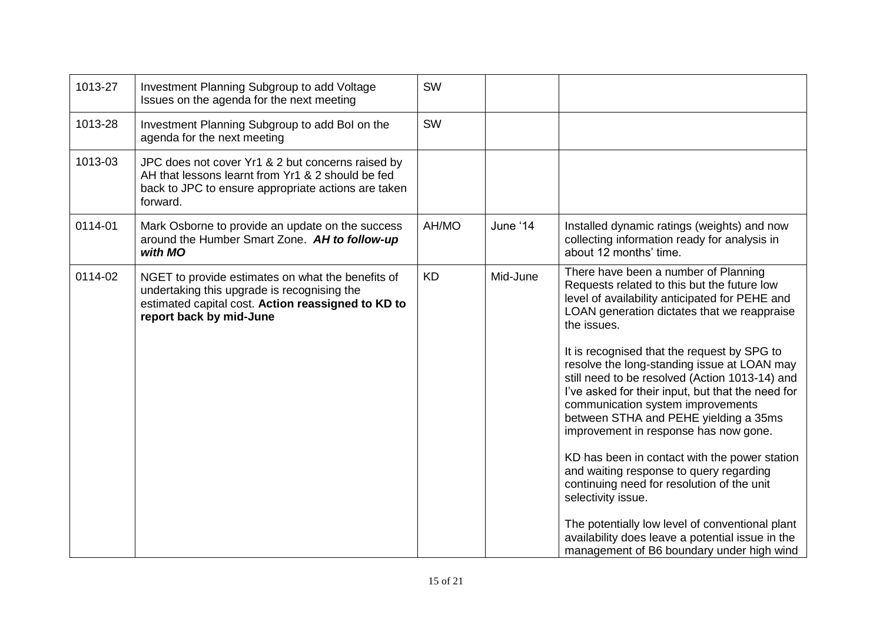| 1013-27 | Investment Planning Subgroup to add Voltage<br>Issues on the agenda for the next meeting                                                                                          | SW        |          |                                                                                                                                                                                                                                                                                                                                                                                                                                                                                                                                                                                                                                                                                                                                                    |
|---------|-----------------------------------------------------------------------------------------------------------------------------------------------------------------------------------|-----------|----------|----------------------------------------------------------------------------------------------------------------------------------------------------------------------------------------------------------------------------------------------------------------------------------------------------------------------------------------------------------------------------------------------------------------------------------------------------------------------------------------------------------------------------------------------------------------------------------------------------------------------------------------------------------------------------------------------------------------------------------------------------|
| 1013-28 | Investment Planning Subgroup to add Bol on the<br>agenda for the next meeting                                                                                                     | <b>SW</b> |          |                                                                                                                                                                                                                                                                                                                                                                                                                                                                                                                                                                                                                                                                                                                                                    |
| 1013-03 | JPC does not cover Yr1 & 2 but concerns raised by<br>AH that lessons learnt from Yr1 & 2 should be fed<br>back to JPC to ensure appropriate actions are taken<br>forward.         |           |          |                                                                                                                                                                                                                                                                                                                                                                                                                                                                                                                                                                                                                                                                                                                                                    |
| 0114-01 | Mark Osborne to provide an update on the success<br>around the Humber Smart Zone. AH to follow-up<br>with MO                                                                      | AH/MO     | June '14 | Installed dynamic ratings (weights) and now<br>collecting information ready for analysis in<br>about 12 months' time.                                                                                                                                                                                                                                                                                                                                                                                                                                                                                                                                                                                                                              |
| 0114-02 | NGET to provide estimates on what the benefits of<br>undertaking this upgrade is recognising the<br>estimated capital cost. Action reassigned to KD to<br>report back by mid-June | <b>KD</b> | Mid-June | There have been a number of Planning<br>Requests related to this but the future low<br>level of availability anticipated for PEHE and<br>LOAN generation dictates that we reappraise<br>the issues.<br>It is recognised that the request by SPG to<br>resolve the long-standing issue at LOAN may<br>still need to be resolved (Action 1013-14) and<br>I've asked for their input, but that the need for<br>communication system improvements<br>between STHA and PEHE yielding a 35ms<br>improvement in response has now gone.<br>KD has been in contact with the power station<br>and waiting response to query regarding<br>continuing need for resolution of the unit<br>selectivity issue.<br>The potentially low level of conventional plant |
|         |                                                                                                                                                                                   |           |          | availability does leave a potential issue in the<br>management of B6 boundary under high wind                                                                                                                                                                                                                                                                                                                                                                                                                                                                                                                                                                                                                                                      |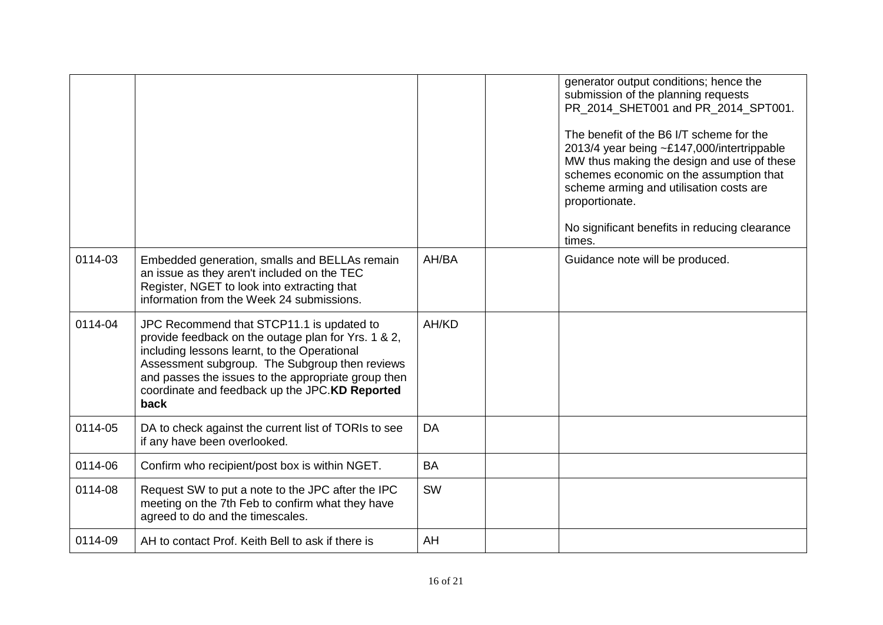|         |                                                                                                                                                                                                                                                                                                                     |           | generator output conditions; hence the<br>submission of the planning requests<br>PR 2014 SHET001 and PR 2014 SPT001.<br>The benefit of the B6 I/T scheme for the<br>2013/4 year being ~£147,000/intertrippable<br>MW thus making the design and use of these<br>schemes economic on the assumption that<br>scheme arming and utilisation costs are<br>proportionate.<br>No significant benefits in reducing clearance<br>times. |
|---------|---------------------------------------------------------------------------------------------------------------------------------------------------------------------------------------------------------------------------------------------------------------------------------------------------------------------|-----------|---------------------------------------------------------------------------------------------------------------------------------------------------------------------------------------------------------------------------------------------------------------------------------------------------------------------------------------------------------------------------------------------------------------------------------|
| 0114-03 | Embedded generation, smalls and BELLAs remain<br>an issue as they aren't included on the TEC<br>Register, NGET to look into extracting that<br>information from the Week 24 submissions.                                                                                                                            | AH/BA     | Guidance note will be produced.                                                                                                                                                                                                                                                                                                                                                                                                 |
| 0114-04 | JPC Recommend that STCP11.1 is updated to<br>provide feedback on the outage plan for Yrs. 1 & 2,<br>including lessons learnt, to the Operational<br>Assessment subgroup. The Subgroup then reviews<br>and passes the issues to the appropriate group then<br>coordinate and feedback up the JPC.KD Reported<br>back | AH/KD     |                                                                                                                                                                                                                                                                                                                                                                                                                                 |
| 0114-05 | DA to check against the current list of TORIs to see<br>if any have been overlooked.                                                                                                                                                                                                                                | DA        |                                                                                                                                                                                                                                                                                                                                                                                                                                 |
| 0114-06 | Confirm who recipient/post box is within NGET.                                                                                                                                                                                                                                                                      | <b>BA</b> |                                                                                                                                                                                                                                                                                                                                                                                                                                 |
| 0114-08 | Request SW to put a note to the JPC after the IPC<br>meeting on the 7th Feb to confirm what they have<br>agreed to do and the timescales.                                                                                                                                                                           | SW        |                                                                                                                                                                                                                                                                                                                                                                                                                                 |
| 0114-09 | AH to contact Prof. Keith Bell to ask if there is                                                                                                                                                                                                                                                                   | AH        |                                                                                                                                                                                                                                                                                                                                                                                                                                 |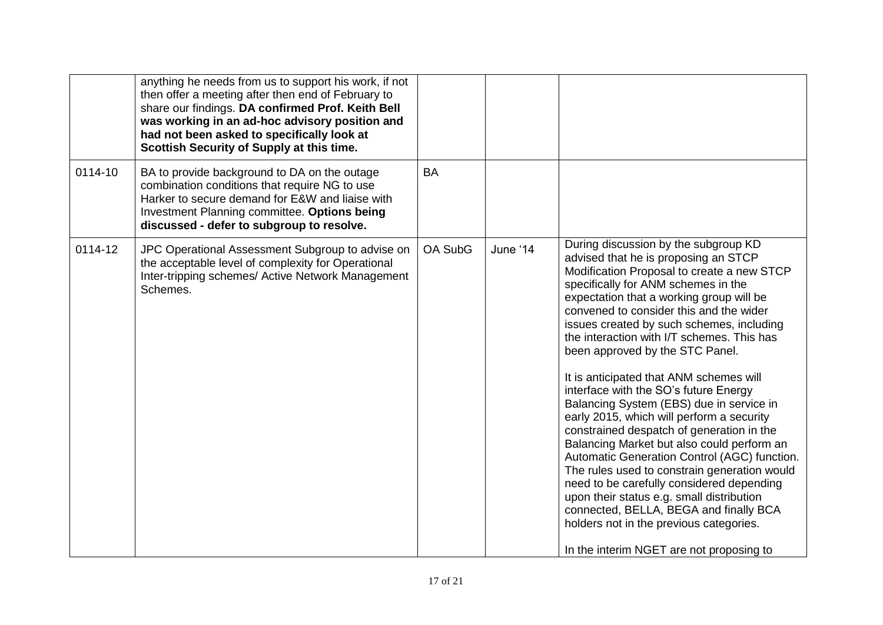|         | anything he needs from us to support his work, if not<br>then offer a meeting after then end of February to<br>share our findings. DA confirmed Prof. Keith Bell<br>was working in an ad-hoc advisory position and<br>had not been asked to specifically look at<br>Scottish Security of Supply at this time. |           |          |                                                                                                                                                                                                                                                                                                                                                                                                                                                                                                                                                                                                                                                                                                                                                                                                                                                                                                                                                                                           |
|---------|---------------------------------------------------------------------------------------------------------------------------------------------------------------------------------------------------------------------------------------------------------------------------------------------------------------|-----------|----------|-------------------------------------------------------------------------------------------------------------------------------------------------------------------------------------------------------------------------------------------------------------------------------------------------------------------------------------------------------------------------------------------------------------------------------------------------------------------------------------------------------------------------------------------------------------------------------------------------------------------------------------------------------------------------------------------------------------------------------------------------------------------------------------------------------------------------------------------------------------------------------------------------------------------------------------------------------------------------------------------|
| 0114-10 | BA to provide background to DA on the outage<br>combination conditions that require NG to use<br>Harker to secure demand for E&W and liaise with<br>Investment Planning committee. Options being<br>discussed - defer to subgroup to resolve.                                                                 | <b>BA</b> |          |                                                                                                                                                                                                                                                                                                                                                                                                                                                                                                                                                                                                                                                                                                                                                                                                                                                                                                                                                                                           |
| 0114-12 | JPC Operational Assessment Subgroup to advise on<br>the acceptable level of complexity for Operational<br>Inter-tripping schemes/ Active Network Management<br>Schemes.                                                                                                                                       | OA SubG   | June '14 | During discussion by the subgroup KD<br>advised that he is proposing an STCP<br>Modification Proposal to create a new STCP<br>specifically for ANM schemes in the<br>expectation that a working group will be<br>convened to consider this and the wider<br>issues created by such schemes, including<br>the interaction with I/T schemes. This has<br>been approved by the STC Panel.<br>It is anticipated that ANM schemes will<br>interface with the SO's future Energy<br>Balancing System (EBS) due in service in<br>early 2015, which will perform a security<br>constrained despatch of generation in the<br>Balancing Market but also could perform an<br>Automatic Generation Control (AGC) function.<br>The rules used to constrain generation would<br>need to be carefully considered depending<br>upon their status e.g. small distribution<br>connected, BELLA, BEGA and finally BCA<br>holders not in the previous categories.<br>In the interim NGET are not proposing to |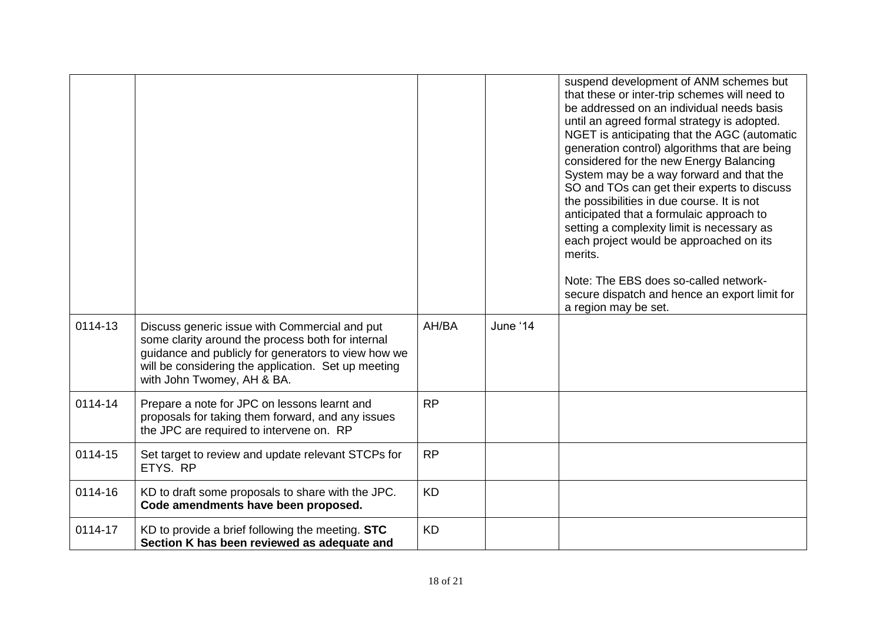|         |                                                                                                                                                                                                                                                |           |          | suspend development of ANM schemes but<br>that these or inter-trip schemes will need to<br>be addressed on an individual needs basis<br>until an agreed formal strategy is adopted.<br>NGET is anticipating that the AGC (automatic<br>generation control) algorithms that are being<br>considered for the new Energy Balancing<br>System may be a way forward and that the<br>SO and TOs can get their experts to discuss<br>the possibilities in due course. It is not<br>anticipated that a formulaic approach to<br>setting a complexity limit is necessary as<br>each project would be approached on its<br>merits.<br>Note: The EBS does so-called network-<br>secure dispatch and hence an export limit for<br>a region may be set. |
|---------|------------------------------------------------------------------------------------------------------------------------------------------------------------------------------------------------------------------------------------------------|-----------|----------|--------------------------------------------------------------------------------------------------------------------------------------------------------------------------------------------------------------------------------------------------------------------------------------------------------------------------------------------------------------------------------------------------------------------------------------------------------------------------------------------------------------------------------------------------------------------------------------------------------------------------------------------------------------------------------------------------------------------------------------------|
| 0114-13 | Discuss generic issue with Commercial and put<br>some clarity around the process both for internal<br>guidance and publicly for generators to view how we<br>will be considering the application. Set up meeting<br>with John Twomey, AH & BA. | AH/BA     | June '14 |                                                                                                                                                                                                                                                                                                                                                                                                                                                                                                                                                                                                                                                                                                                                            |
| 0114-14 | Prepare a note for JPC on lessons learnt and<br>proposals for taking them forward, and any issues<br>the JPC are required to intervene on. RP                                                                                                  | <b>RP</b> |          |                                                                                                                                                                                                                                                                                                                                                                                                                                                                                                                                                                                                                                                                                                                                            |
| 0114-15 | Set target to review and update relevant STCPs for<br>ETYS. RP                                                                                                                                                                                 | <b>RP</b> |          |                                                                                                                                                                                                                                                                                                                                                                                                                                                                                                                                                                                                                                                                                                                                            |
| 0114-16 | KD to draft some proposals to share with the JPC.<br>Code amendments have been proposed.                                                                                                                                                       | <b>KD</b> |          |                                                                                                                                                                                                                                                                                                                                                                                                                                                                                                                                                                                                                                                                                                                                            |
| 0114-17 | KD to provide a brief following the meeting. STC<br>Section K has been reviewed as adequate and                                                                                                                                                | <b>KD</b> |          |                                                                                                                                                                                                                                                                                                                                                                                                                                                                                                                                                                                                                                                                                                                                            |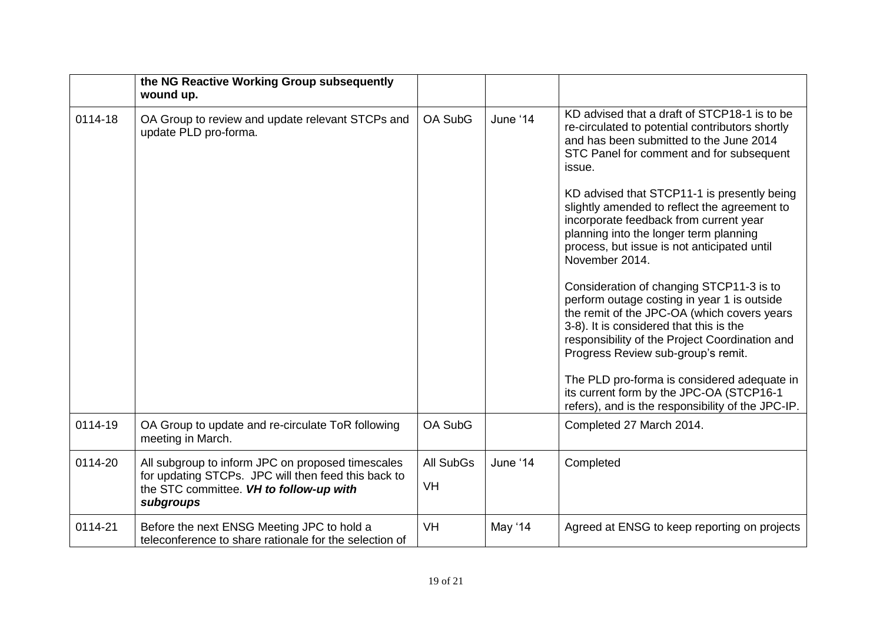|         | the NG Reactive Working Group subsequently<br>wound up.                                                                                                          |                  |          |                                                                                                                                                                                                                                                                           |
|---------|------------------------------------------------------------------------------------------------------------------------------------------------------------------|------------------|----------|---------------------------------------------------------------------------------------------------------------------------------------------------------------------------------------------------------------------------------------------------------------------------|
| 0114-18 | OA Group to review and update relevant STCPs and<br>update PLD pro-forma.                                                                                        | OA SubG          | June '14 | KD advised that a draft of STCP18-1 is to be<br>re-circulated to potential contributors shortly<br>and has been submitted to the June 2014<br>STC Panel for comment and for subsequent<br>issue.                                                                          |
|         |                                                                                                                                                                  |                  |          | KD advised that STCP11-1 is presently being<br>slightly amended to reflect the agreement to<br>incorporate feedback from current year<br>planning into the longer term planning<br>process, but issue is not anticipated until<br>November 2014.                          |
|         |                                                                                                                                                                  |                  |          | Consideration of changing STCP11-3 is to<br>perform outage costing in year 1 is outside<br>the remit of the JPC-OA (which covers years<br>3-8). It is considered that this is the<br>responsibility of the Project Coordination and<br>Progress Review sub-group's remit. |
|         |                                                                                                                                                                  |                  |          | The PLD pro-forma is considered adequate in<br>its current form by the JPC-OA (STCP16-1<br>refers), and is the responsibility of the JPC-IP.                                                                                                                              |
| 0114-19 | OA Group to update and re-circulate ToR following<br>meeting in March.                                                                                           | OA SubG          |          | Completed 27 March 2014.                                                                                                                                                                                                                                                  |
| 0114-20 | All subgroup to inform JPC on proposed timescales<br>for updating STCPs. JPC will then feed this back to<br>the STC committee. VH to follow-up with<br>subgroups | <b>All SubGs</b> | June '14 | Completed                                                                                                                                                                                                                                                                 |
|         |                                                                                                                                                                  | <b>VH</b>        |          |                                                                                                                                                                                                                                                                           |
| 0114-21 | Before the next ENSG Meeting JPC to hold a<br>teleconference to share rationale for the selection of                                                             | <b>VH</b>        | May '14  | Agreed at ENSG to keep reporting on projects                                                                                                                                                                                                                              |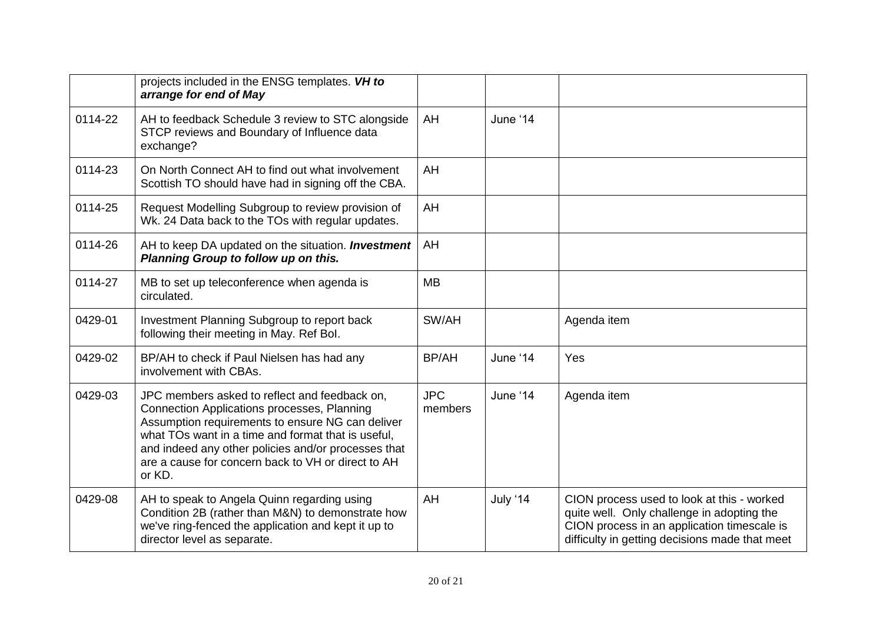|         | projects included in the ENSG templates. VH to<br>arrange for end of May                                                                                                                                                                                                                                                             |                       |          |                                                                                                                                                                                           |
|---------|--------------------------------------------------------------------------------------------------------------------------------------------------------------------------------------------------------------------------------------------------------------------------------------------------------------------------------------|-----------------------|----------|-------------------------------------------------------------------------------------------------------------------------------------------------------------------------------------------|
| 0114-22 | AH to feedback Schedule 3 review to STC alongside<br>STCP reviews and Boundary of Influence data<br>exchange?                                                                                                                                                                                                                        | AH                    | June '14 |                                                                                                                                                                                           |
| 0114-23 | On North Connect AH to find out what involvement<br>Scottish TO should have had in signing off the CBA.                                                                                                                                                                                                                              | AH                    |          |                                                                                                                                                                                           |
| 0114-25 | Request Modelling Subgroup to review provision of<br>Wk. 24 Data back to the TOs with regular updates.                                                                                                                                                                                                                               | AH                    |          |                                                                                                                                                                                           |
| 0114-26 | AH to keep DA updated on the situation. <b>Investment</b><br>Planning Group to follow up on this.                                                                                                                                                                                                                                    | AH                    |          |                                                                                                                                                                                           |
| 0114-27 | MB to set up teleconference when agenda is<br>circulated.                                                                                                                                                                                                                                                                            | <b>MB</b>             |          |                                                                                                                                                                                           |
| 0429-01 | Investment Planning Subgroup to report back<br>following their meeting in May. Ref Bol.                                                                                                                                                                                                                                              | SW/AH                 |          | Agenda item                                                                                                                                                                               |
| 0429-02 | BP/AH to check if Paul Nielsen has had any<br>involvement with CBAs.                                                                                                                                                                                                                                                                 | BP/AH                 | June '14 | Yes                                                                                                                                                                                       |
| 0429-03 | JPC members asked to reflect and feedback on,<br><b>Connection Applications processes, Planning</b><br>Assumption requirements to ensure NG can deliver<br>what TOs want in a time and format that is useful,<br>and indeed any other policies and/or processes that<br>are a cause for concern back to VH or direct to AH<br>or KD. | <b>JPC</b><br>members | June '14 | Agenda item                                                                                                                                                                               |
| 0429-08 | AH to speak to Angela Quinn regarding using<br>Condition 2B (rather than M&N) to demonstrate how<br>we've ring-fenced the application and kept it up to<br>director level as separate.                                                                                                                                               | AH                    | July '14 | CION process used to look at this - worked<br>quite well. Only challenge in adopting the<br>CION process in an application timescale is<br>difficulty in getting decisions made that meet |